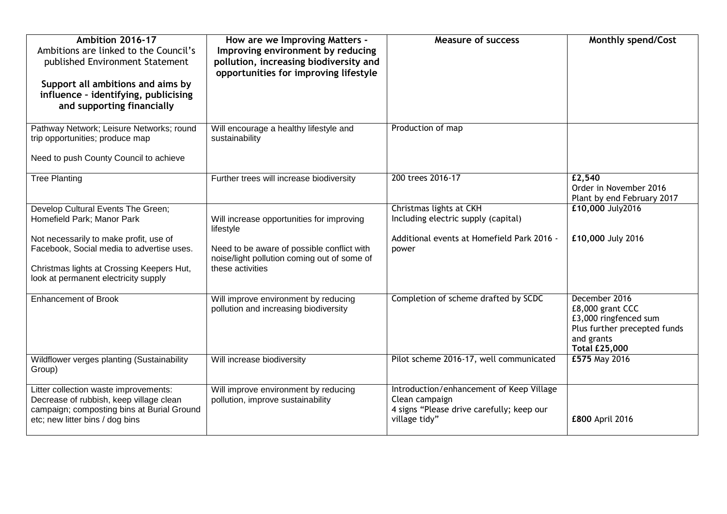| Ambition 2016-17<br>Ambitions are linked to the Council's<br>published Environment Statement<br>Support all ambitions and aims by<br>influence - identifying, publicising<br>and supporting financially                                      | How are we Improving Matters -<br>Improving environment by reducing<br>pollution, increasing biodiversity and<br>opportunities for improving lifestyle                  | <b>Measure of success</b>                                                                                                | <b>Monthly spend/Cost</b>                                                                                                        |
|----------------------------------------------------------------------------------------------------------------------------------------------------------------------------------------------------------------------------------------------|-------------------------------------------------------------------------------------------------------------------------------------------------------------------------|--------------------------------------------------------------------------------------------------------------------------|----------------------------------------------------------------------------------------------------------------------------------|
| Pathway Network; Leisure Networks; round<br>trip opportunities; produce map<br>Need to push County Council to achieve                                                                                                                        | Will encourage a healthy lifestyle and<br>sustainability                                                                                                                | Production of map                                                                                                        |                                                                                                                                  |
| <b>Tree Planting</b>                                                                                                                                                                                                                         | Further trees will increase biodiversity                                                                                                                                | 200 trees 2016-17                                                                                                        | £2,540<br>Order in November 2016<br>Plant by end February 2017                                                                   |
| Develop Cultural Events The Green;<br>Homefield Park; Manor Park<br>Not necessarily to make profit, use of<br>Facebook, Social media to advertise uses.<br>Christmas lights at Crossing Keepers Hut,<br>look at permanent electricity supply | Will increase opportunities for improving<br>lifestyle<br>Need to be aware of possible conflict with<br>noise/light pollution coming out of some of<br>these activities | Christmas lights at CKH<br>Including electric supply (capital)<br>Additional events at Homefield Park 2016 -<br>power    | £10,000 July2016<br>£10,000 July 2016                                                                                            |
| <b>Enhancement of Brook</b>                                                                                                                                                                                                                  | Will improve environment by reducing<br>pollution and increasing biodiversity                                                                                           | Completion of scheme drafted by SCDC                                                                                     | December 2016<br>£8,000 grant CCC<br>£3,000 ringfenced sum<br>Plus further precepted funds<br>and grants<br><b>Total £25,000</b> |
| Wildflower verges planting (Sustainability<br>Group)                                                                                                                                                                                         | Will increase biodiversity                                                                                                                                              | Pilot scheme 2016-17, well communicated                                                                                  | £575 May 2016                                                                                                                    |
| Litter collection waste improvements:<br>Decrease of rubbish, keep village clean<br>campaign; composting bins at Burial Ground<br>etc; new litter bins / dog bins                                                                            | Will improve environment by reducing<br>pollution, improve sustainability                                                                                               | Introduction/enhancement of Keep Village<br>Clean campaign<br>4 signs "Please drive carefully; keep our<br>village tidy" | £800 April 2016                                                                                                                  |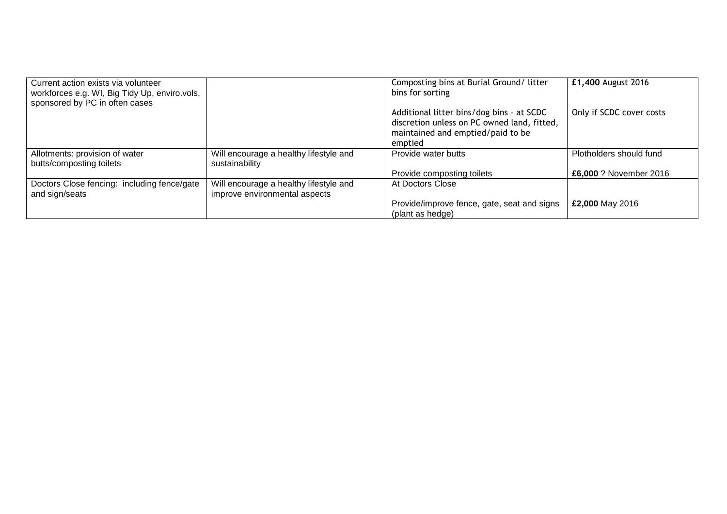| Current action exists via volunteer<br>workforces e.g. WI, Big Tidy Up, enviro.vols, |                                                                         | Composting bins at Burial Ground/ litter<br>bins for sorting                                                                             | £1,400 August 2016       |
|--------------------------------------------------------------------------------------|-------------------------------------------------------------------------|------------------------------------------------------------------------------------------------------------------------------------------|--------------------------|
| sponsored by PC in often cases                                                       |                                                                         |                                                                                                                                          |                          |
|                                                                                      |                                                                         | Additional litter bins/dog bins - at SCDC<br>discretion unless on PC owned land, fitted,<br>maintained and emptied/paid to be<br>emptied | Only if SCDC cover costs |
| Allotments: provision of water                                                       | Will encourage a healthy lifestyle and                                  | Provide water butts                                                                                                                      | Plotholders should fund  |
| butts/composting toilets                                                             | sustainability                                                          |                                                                                                                                          |                          |
|                                                                                      |                                                                         | Provide composting toilets                                                                                                               | £6,000 ? November 2016   |
| Doctors Close fencing: including fence/gate<br>and sign/seats                        | Will encourage a healthy lifestyle and<br>improve environmental aspects | At Doctors Close                                                                                                                         |                          |
|                                                                                      |                                                                         | Provide/improve fence, gate, seat and signs<br>(plant as hedge)                                                                          | £2,000 May 2016          |